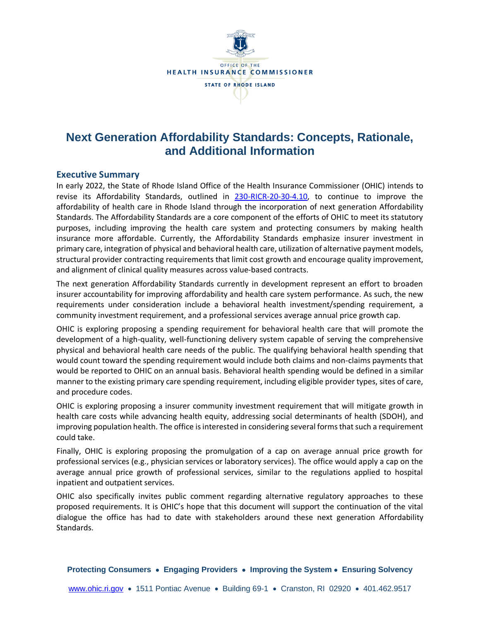

# **Next Generation Affordability Standards: Concepts, Rationale, and Additional Information**

### **Executive Summary**

In early 2022, the State of Rhode Island Office of the Health Insurance Commissioner (OHIC) intends to revise its Affordability Standards, outlined in [230-RICR-20-30-4.10,](http://www.ohic.ri.gov/documents/2020/July/31/230-RICR-20-30-4%20FINAL%20SOS.pdf) to continue to improve the affordability of health care in Rhode Island through the incorporation of next generation Affordability Standards. The Affordability Standards are a core component of the efforts of OHIC to meet its statutory purposes, including improving the health care system and protecting consumers by making health insurance more affordable. Currently, the Affordability Standards emphasize insurer investment in primary care, integration of physical and behavioral health care, utilization of alternative payment models, structural provider contracting requirements that limit cost growth and encourage quality improvement, and alignment of clinical quality measures across value-based contracts.

The next generation Affordability Standards currently in development represent an effort to broaden insurer accountability for improving affordability and health care system performance. As such, the new requirements under consideration include a behavioral health investment/spending requirement, a community investment requirement, and a professional services average annual price growth cap.

OHIC is exploring proposing a spending requirement for behavioral health care that will promote the development of a high-quality, well-functioning delivery system capable of serving the comprehensive physical and behavioral health care needs of the public. The qualifying behavioral health spending that would count toward the spending requirement would include both claims and non-claims payments that would be reported to OHIC on an annual basis. Behavioral health spending would be defined in a similar manner to the existing primary care spending requirement, including eligible provider types, sites of care, and procedure codes.

OHIC is exploring proposing a insurer community investment requirement that will mitigate growth in health care costs while advancing health equity, addressing social determinants of health (SDOH), and improving population health. The office is interested in considering several forms that such a requirement could take.

Finally, OHIC is exploring proposing the promulgation of a cap on average annual price growth for professional services (e.g., physician services or laboratory services). The office would apply a cap on the average annual price growth of professional services, similar to the regulations applied to hospital inpatient and outpatient services.

OHIC also specifically invites public comment regarding alternative regulatory approaches to these proposed requirements. It is OHIC's hope that this document will support the continuation of the vital dialogue the office has had to date with stakeholders around these next generation Affordability Standards.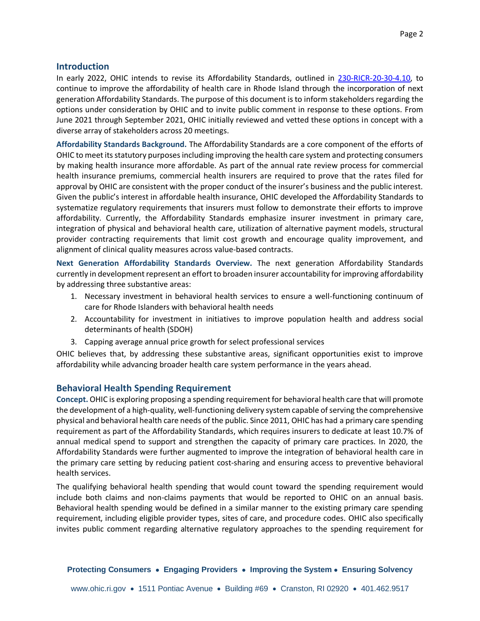In early 2022, OHIC intends to revise its Affordability Standards, outlined in [230-RICR-20-30-4.10,](http://www.ohic.ri.gov/documents/2020/July/31/230-RICR-20-30-4%20FINAL%20SOS.pdf) to continue to improve the affordability of health care in Rhode Island through the incorporation of next generation Affordability Standards. The purpose of this document is to inform stakeholders regarding the options under consideration by OHIC and to invite public comment in response to these options. From June 2021 through September 2021, OHIC initially reviewed and vetted these options in concept with a diverse array of stakeholders across 20 meetings.

**Affordability Standards Background.** The Affordability Standards are a core component of the efforts of OHIC to meet its statutory purposes including improving the health care system and protecting consumers by making health insurance more affordable. As part of the annual rate review process for commercial health insurance premiums, commercial health insurers are required to prove that the rates filed for approval by OHIC are consistent with the proper conduct of the insurer's business and the public interest. Given the public's interest in affordable health insurance, OHIC developed the Affordability Standards to systematize regulatory requirements that insurers must follow to demonstrate their efforts to improve affordability. Currently, the Affordability Standards emphasize insurer investment in primary care, integration of physical and behavioral health care, utilization of alternative payment models, structural provider contracting requirements that limit cost growth and encourage quality improvement, and alignment of clinical quality measures across value-based contracts.

**Next Generation Affordability Standards Overview.** The next generation Affordability Standards currently in development represent an effort to broaden insurer accountability for improving affordability by addressing three substantive areas:

- 1. Necessary investment in behavioral health services to ensure a well-functioning continuum of care for Rhode Islanders with behavioral health needs
- 2. Accountability for investment in initiatives to improve population health and address social determinants of health (SDOH)
- 3. Capping average annual price growth for select professional services

OHIC believes that, by addressing these substantive areas, significant opportunities exist to improve affordability while advancing broader health care system performance in the years ahead.

# **Behavioral Health Spending Requirement**

**Concept.** OHIC is exploring proposing a spending requirement for behavioral health care that will promote the development of a high-quality, well-functioning delivery system capable of serving the comprehensive physical and behavioral health care needs of the public. Since 2011, OHIC has had a primary care spending requirement as part of the Affordability Standards, which requires insurers to dedicate at least 10.7% of annual medical spend to support and strengthen the capacity of primary care practices. In 2020, the Affordability Standards were further augmented to improve the integration of behavioral health care in the primary care setting by reducing patient cost-sharing and ensuring access to preventive behavioral health services.

The qualifying behavioral health spending that would count toward the spending requirement would include both claims and non-claims payments that would be reported to OHIC on an annual basis. Behavioral health spending would be defined in a similar manner to the existing primary care spending requirement, including eligible provider types, sites of care, and procedure codes. OHIC also specifically invites public comment regarding alternative regulatory approaches to the spending requirement for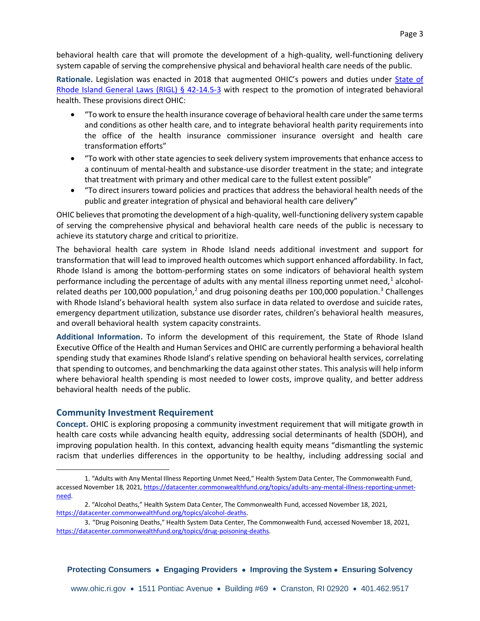behavioral health care that will promote the development of a high-quality, well-functioning delivery system capable of serving the comprehensive physical and behavioral health care needs of the public.

**Rationale.** Legislation was enacted in 2018 that augmented OHIC's powers and duties under [State of](http://webserver.rilin.state.ri.us/Statutes/TITLE42/42-14.5/42-14.5-3.HTM)  [Rhode Island General Laws \(RIGL\) § 42-14.5-3](http://webserver.rilin.state.ri.us/Statutes/TITLE42/42-14.5/42-14.5-3.HTM) with respect to the promotion of integrated behavioral health. These provisions direct OHIC:

- "To work to ensure the health insurance coverage of behavioral health care under the same terms and conditions as other health care, and to integrate behavioral health parity requirements into the office of the health insurance commissioner insurance oversight and health care transformation efforts"
- "To work with other state agencies to seek delivery system improvements that enhance access to a continuum of mental-health and substance-use disorder treatment in the state; and integrate that treatment with primary and other medical care to the fullest extent possible"
- "To direct insurers toward policies and practices that address the behavioral health needs of the public and greater integration of physical and behavioral health care delivery"

OHIC believes that promoting the development of a high-quality, well-functioning delivery system capable of serving the comprehensive physical and behavioral health care needs of the public is necessary to achieve its statutory charge and critical to prioritize.

The behavioral health care system in Rhode Island needs additional investment and support for transformation that will lead to improved health outcomes which support enhanced affordability. In fact, Rhode Island is among the bottom-performing states on some indicators of behavioral health system performance including the percentage of adults with any mental illness reporting unmet need,<sup>1</sup> alcoholrelated deaths per 100,000 population,<sup>2</sup> and drug poisoning deaths per 100,000 population.<sup>3</sup> Challenges with Rhode Island's behavioral health system also surface in data related to overdose and suicide rates, emergency department utilization, substance use disorder rates, children's behavioral health measures, and overall behavioral health system capacity constraints.

**Additional Information.** To inform the development of this requirement, the State of Rhode Island Executive Office of the Health and Human Services and OHIC are currently performing a behavioral health spending study that examines Rhode Island's relative spending on behavioral health services, correlating that spending to outcomes, and benchmarking the data against other states. This analysis will help inform where behavioral health spending is most needed to lower costs, improve quality, and better address behavioral health needs of the public.

# **Community Investment Requirement**

**Concept.** OHIC is exploring proposing a community investment requirement that will mitigate growth in health care costs while advancing health equity, addressing social determinants of health (SDOH), and improving population health. In this context, advancing health equity means "dismantling the systemic racism that underlies differences in the opportunity to be healthy, including addressing social and

<sup>1.</sup> "Adults with Any Mental Illness Reporting Unmet Need," Health System Data Center, The Commonwealth Fund, accessed November 18, 2021[, https://datacenter.commonwealthfund.org/topics/adults-any-mental-illness-reporting-unmet](https://datacenter.commonwealthfund.org/topics/adults-any-mental-illness-reporting-unmet-need)[need.](https://datacenter.commonwealthfund.org/topics/adults-any-mental-illness-reporting-unmet-need)

<sup>2.</sup> "Alcohol Deaths," Health System Data Center, The Commonwealth Fund, accessed November 18, 2021, [https://datacenter.commonwealthfund.org/topics/alcohol-deaths.](https://datacenter.commonwealthfund.org/topics/alcohol-deaths)

<sup>3</sup>. "Drug Poisoning Deaths," Health System Data Center, The Commonwealth Fund, accessed November 18, 2021, [https://datacenter.commonwealthfund.org/topics/drug-poisoning-deaths.](https://datacenter.commonwealthfund.org/topics/drug-poisoning-deaths)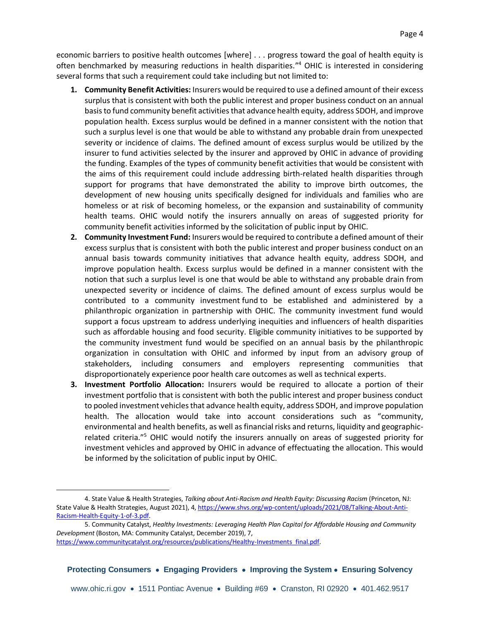economic barriers to positive health outcomes [where] . . . progress toward the goal of health equity is often benchmarked by measuring reductions in health disparities." <sup>4</sup> OHIC is interested in considering several forms that such a requirement could take including but not limited to:

- **1. Community Benefit Activities:** Insurers would be required to use a defined amount of their excess surplus that is consistent with both the public interest and proper business conduct on an annual basis to fund community benefit activities that advance health equity, address SDOH, and improve population health. Excess surplus would be defined in a manner consistent with the notion that such a surplus level is one that would be able to withstand any probable drain from unexpected severity or incidence of claims. The defined amount of excess surplus would be utilized by the insurer to fund activities selected by the insurer and approved by OHIC in advance of providing the funding. Examples of the types of community benefit activities that would be consistent with the aims of this requirement could include addressing birth-related health disparities through support for programs that have demonstrated the ability to improve birth outcomes, the development of new housing units specifically designed for individuals and families who are homeless or at risk of becoming homeless, or the expansion and sustainability of community health teams. OHIC would notify the insurers annually on areas of suggested priority for community benefit activities informed by the solicitation of public input by OHIC.
- **2. Community Investment Fund:** Insurers would be required to contribute a defined amount of their excess surplus that is consistent with both the public interest and proper business conduct on an annual basis towards community initiatives that advance health equity, address SDOH, and improve population health. Excess surplus would be defined in a manner consistent with the notion that such a surplus level is one that would be able to withstand any probable drain from unexpected severity or incidence of claims. The defined amount of excess surplus would be contributed to a community investment fund to be established and administered by a philanthropic organization in partnership with OHIC. The community investment fund would support a focus upstream to address underlying inequities and influencers of health disparities such as affordable housing and food security. Eligible community initiatives to be supported by the community investment fund would be specified on an annual basis by the philanthropic organization in consultation with OHIC and informed by input from an advisory group of stakeholders, including consumers and employers representing communities that disproportionately experience poor health care outcomes as well as technical experts.
- **3. Investment Portfolio Allocation:** Insurers would be required to allocate a portion of their investment portfolio that is consistent with both the public interest and proper business conduct to pooled investment vehicles that advance health equity, address SDOH, and improve population health. The allocation would take into account considerations such as "community, environmental and health benefits, as well as financial risks and returns, liquidity and geographicrelated criteria."<sup>5</sup> OHIC would notify the insurers annually on areas of suggested priority for investment vehicles and approved by OHIC in advance of effectuating the allocation. This would be informed by the solicitation of public input by OHIC.

<sup>4.</sup> State Value & Health Strategies, *Talking about Anti-Racism and Health Equity: Discussing Racism* (Princeton, NJ: State Value & Health Strategies, August 2021), 4, [https://www.shvs.org/wp-content/uploads/2021/08/Talking-About-Anti-](https://www.shvs.org/wp-content/uploads/2021/08/Talking-About-Anti-Racism-Health-Equity-1-of-3.pdf)[Racism-Health-Equity-1-of-3.pdf.](https://www.shvs.org/wp-content/uploads/2021/08/Talking-About-Anti-Racism-Health-Equity-1-of-3.pdf)

<sup>5.</sup> Community Catalyst, *Healthy Investments: Leveraging Health Plan Capital for Affordable Housing and Community Development* (Boston, MA: Community Catalyst, December 2019), 7,

[https://www.communitycatalyst.org/resources/publications/Healthy-Investments\\_final.pdf.](https://www.communitycatalyst.org/resources/publications/Healthy-Investments_final.pdf)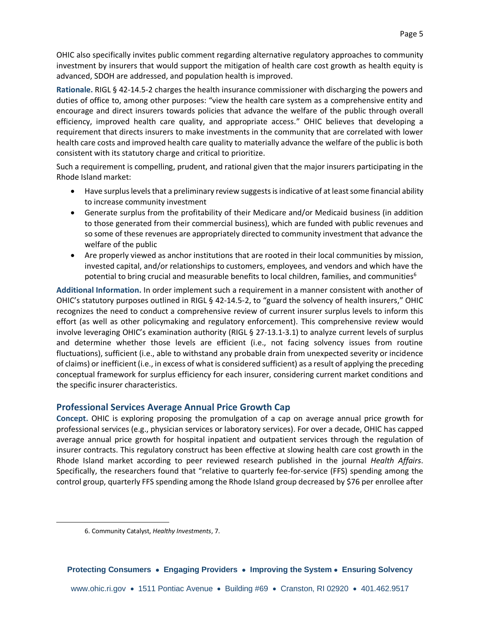OHIC also specifically invites public comment regarding alternative regulatory approaches to community investment by insurers that would support the mitigation of health care cost growth as health equity is advanced, SDOH are addressed, and population health is improved.

**Rationale.** RIGL § 42-14.5-2 charges the health insurance commissioner with discharging the powers and duties of office to, among other purposes: "view the health care system as a comprehensive entity and encourage and direct insurers towards policies that advance the welfare of the public through overall efficiency, improved health care quality, and appropriate access." OHIC believes that developing a requirement that directs insurers to make investments in the community that are correlated with lower health care costs and improved health care quality to materially advance the welfare of the public is both consistent with its statutory charge and critical to prioritize.

Such a requirement is compelling, prudent, and rational given that the major insurers participating in the Rhode Island market:

- Have surplus levels that a preliminary review suggests is indicative of at least some financial ability to increase community investment
- Generate surplus from the profitability of their Medicare and/or Medicaid business (in addition to those generated from their commercial business), which are funded with public revenues and so some of these revenues are appropriately directed to community investment that advance the welfare of the public
- Are properly viewed as anchor institutions that are rooted in their local communities by mission, invested capital, and/or relationships to customers, employees, and vendors and which have the potential to bring crucial and measurable benefits to local children, families, and communities<sup>6</sup>

**Additional Information.** In order implement such a requirement in a manner consistent with another of OHIC's statutory purposes outlined in RIGL § 42-14.5-2, to "guard the solvency of health insurers," OHIC recognizes the need to conduct a comprehensive review of current insurer surplus levels to inform this effort (as well as other policymaking and regulatory enforcement). This comprehensive review would involve leveraging OHIC's examination authority (RIGL § 27-13.1-3.1) to analyze current levels of surplus and determine whether those levels are efficient (i.e., not facing solvency issues from routine fluctuations), sufficient (i.e., able to withstand any probable drain from unexpected severity or incidence of claims) or inefficient (i.e., in excess of what is considered sufficient) as a result of applying the preceding conceptual framework for surplus efficiency for each insurer, considering current market conditions and the specific insurer characteristics.

# **Professional Services Average Annual Price Growth Cap**

**Concept.** OHIC is exploring proposing the promulgation of a cap on average annual price growth for professional services (e.g., physician services or laboratory services). For over a decade, OHIC has capped average annual price growth for hospital inpatient and outpatient services through the regulation of insurer contracts. This regulatory construct has been effective at slowing health care cost growth in the Rhode Island market according to peer reviewed research published in the journal *Health Affairs*. Specifically, the researchers found that "relative to quarterly fee-for-service (FFS) spending among the control group, quarterly FFS spending among the Rhode Island group decreased by \$76 per enrollee after

<sup>6.</sup> Community Catalyst, *Healthy Investments*, 7.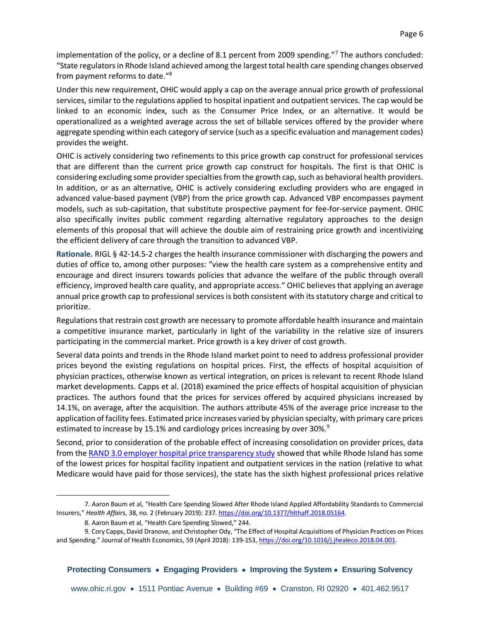implementation of the policy, or a decline of 8.1 percent from 2009 spending."<sup>7</sup> The authors concluded: "State regulators in Rhode Island achieved among the largest total health care spending changes observed from payment reforms to date."<sup>8</sup>

Under this new requirement, OHIC would apply a cap on the average annual price growth of professional services, similar to the regulations applied to hospital inpatient and outpatient services. The cap would be linked to an economic index, such as the Consumer Price Index, or an alternative. It would be operationalized as a weighted average across the set of billable services offered by the provider where aggregate spending within each category of service (such as a specific evaluation and management codes) provides the weight.

OHIC is actively considering two refinements to this price growth cap construct for professional services that are different than the current price growth cap construct for hospitals. The first is that OHIC is considering excluding some provider specialties from the growth cap, such as behavioral health providers. In addition, or as an alternative, OHIC is actively considering excluding providers who are engaged in advanced value-based payment (VBP) from the price growth cap. Advanced VBP encompasses payment models, such as sub-capitation, that substitute prospective payment for fee-for-service payment. OHIC also specifically invites public comment regarding alternative regulatory approaches to the design elements of this proposal that will achieve the double aim of restraining price growth and incentivizing the efficient delivery of care through the transition to advanced VBP.

**Rationale.** RIGL § 42-14.5-2 charges the health insurance commissioner with discharging the powers and duties of office to, among other purposes: "view the health care system as a comprehensive entity and encourage and direct insurers towards policies that advance the welfare of the public through overall efficiency, improved health care quality, and appropriate access." OHIC believes that applying an average annual price growth cap to professional services is both consistent with its statutory charge and critical to prioritize.

Regulations that restrain cost growth are necessary to promote affordable health insurance and maintain a competitive insurance market, particularly in light of the variability in the relative size of insurers participating in the commercial market. Price growth is a key driver of cost growth.

Several data points and trends in the Rhode Island market point to need to address professional provider prices beyond the existing regulations on hospital prices. First, the effects of hospital acquisition of physician practices, otherwise known as vertical integration, on prices is relevant to recent Rhode Island market developments. Capps et al. (2018) examined the price effects of hospital acquisition of physician practices. The authors found that the prices for services offered by acquired physicians increased by 14.1%, on average, after the acquisition. The authors attribute 45% of the average price increase to the application of facility fees. Estimated price increases varied by physician specialty, with primary care prices estimated to increase by 15.1% and cardiology prices increasing by over 30%.<sup>9</sup>

Second, prior to consideration of the probable effect of increasing consolidation on provider prices, data from the [RAND 3.0 employer hospital price transparency study](https://employerptp.org/rand-3/) showed that while Rhode Island has some of the lowest prices for hospital facility inpatient and outpatient services in the nation (relative to what Medicare would have paid for those services), the state has the sixth highest professional prices relative

<sup>7</sup>. Aaron Baum et al, "Health Care Spending Slowed After Rhode Island Applied Affordability Standards to Commercial Insurers," *Health Affairs*, 38, no. 2 (February 2019): 237. [https://doi.org/10.1377/hlthaff.2018.05164.](https://doi.org/10.1377/hlthaff.2018.05164)

<sup>8.</sup> Aaron Baum et al, "Health Care Spending Slowed," 244.

<sup>9.</sup> Cory Capps, David Dranove, and Christopher Ody, "The Effect of Hospital Acquisitions of Physician Practices on Prices and Spending." Journal of Health Economics, 59 (April 2018): 139-153[, https://doi.org/10.1016/j.jhealeco.2018.04.001.](https://doi.org/10.1016/j.jhealeco.2018.04.001)